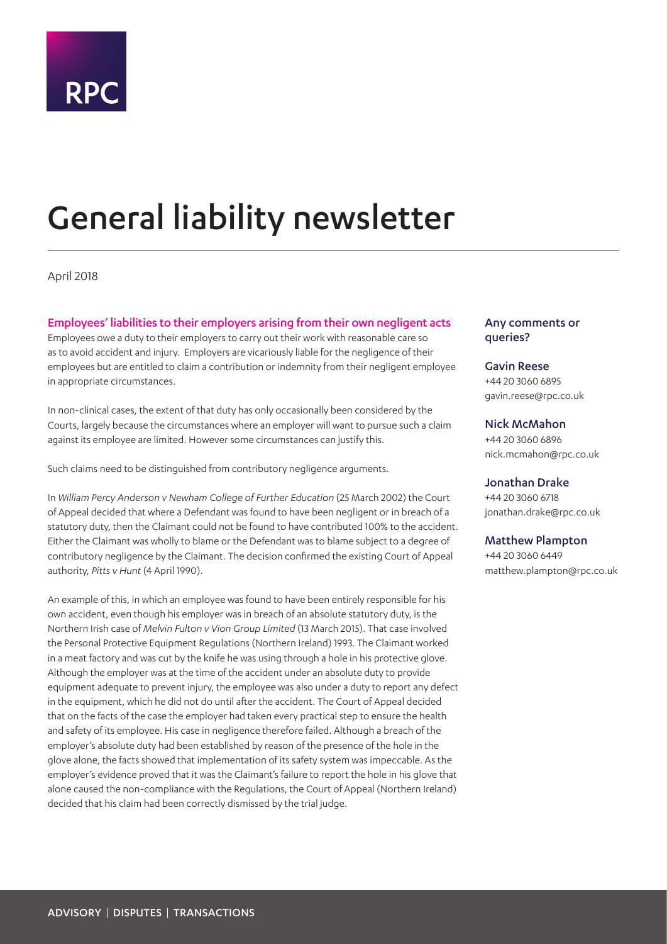

# General liability newsletter

April 2018

## Employees' liabilities to their employers arising from their own negligent acts

Employees owe a duty to their employers to carry out their work with reasonable care so as to avoid accident and injury. Employers are vicariously liable for the negligence of their employees but are entitled to claim a contribution or indemnity from their negligent employee in appropriate circumstances.

In non-clinical cases, the extent of that duty has only occasionally been considered by the Courts, largely because the circumstances where an employer will want to pursue such a claim against its employee are limited. However some circumstances can justify this.

Such claims need to be distinguished from contributory negligence arguments.

In *William Percy Anderson v Newham College of Further Education* (25 March 2002) the Court of Appeal decided that where a Defendant was found to have been negligent or in breach of a statutory duty, then the Claimant could not be found to have contributed 100% to the accident. Either the Claimant was wholly to blame or the Defendant was to blame subject to a degree of contributory negligence by the Claimant. The decision confirmed the existing Court of Appeal authority, *Pitts v Hunt* (4 April 1990).

An example of this, in which an employee was found to have been entirely responsible for his own accident, even though his employer was in breach of an absolute statutory duty, is the Northern Irish case of *Melvin Fulton v Vion Group Limited* (13 March 2015). That case involved the Personal Protective Equipment Regulations (Northern Ireland) 1993. The Claimant worked in a meat factory and was cut by the knife he was using through a hole in his protective glove. Although the employer was at the time of the accident under an absolute duty to provide equipment adequate to prevent injury, the employee was also under a duty to report any defect in the equipment, which he did not do until after the accident. The Court of Appeal decided that on the facts of the case the employer had taken every practical step to ensure the health and safety of its employee. His case in negligence therefore failed. Although a breach of the employer's absolute duty had been established by reason of the presence of the hole in the glove alone, the facts showed that implementation of its safety system was impeccable. As the employer's evidence proved that it was the Claimant's failure to report the hole in his glove that alone caused the non-compliance with the Regulations, the Court of Appeal (Northern Ireland) decided that his claim had been correctly dismissed by the trial judge.

## Any comments or queries?

## Gavin Reese +44 20 3060 6895 gavin.reese@rpc.co.uk

Nick McMahon +44 20 3060 6896 nick.mcmahon@rpc.co.uk

Jonathan Drake +44 20 3060 6718 jonathan.drake@rpc.co.uk

## Matthew Plampton

+44 20 3060 6449 matthew.plampton@rpc.co.uk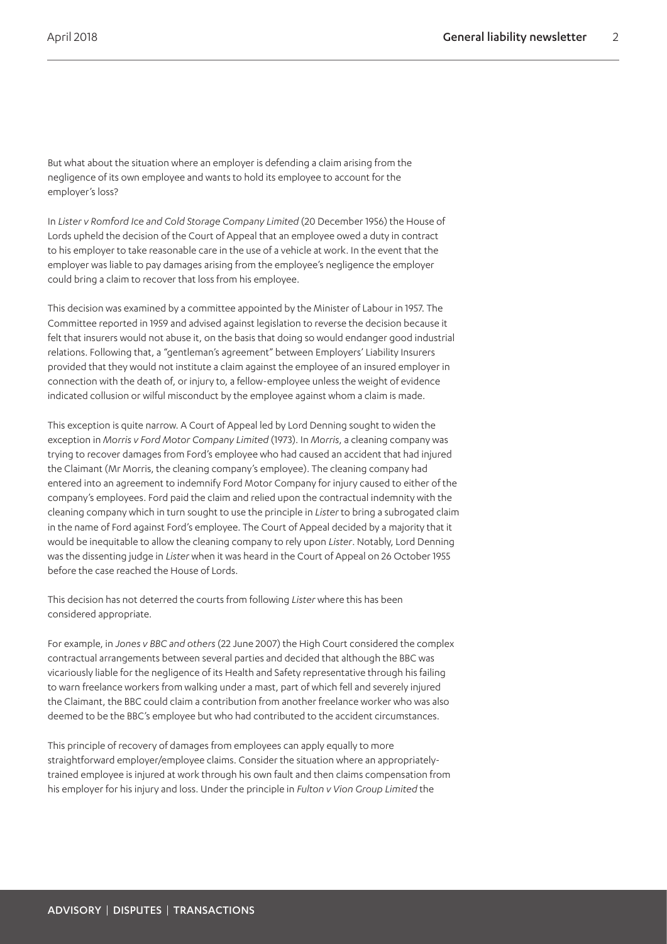But what about the situation where an employer is defending a claim arising from the negligence of its own employee and wants to hold its employee to account for the employer's loss?

In *Lister v Romford Ice and Cold Storage Company Limited* (20 December 1956) the House of Lords upheld the decision of the Court of Appeal that an employee owed a duty in contract to his employer to take reasonable care in the use of a vehicle at work. In the event that the employer was liable to pay damages arising from the employee's negligence the employer could bring a claim to recover that loss from his employee.

This decision was examined by a committee appointed by the Minister of Labour in 1957. The Committee reported in 1959 and advised against legislation to reverse the decision because it felt that insurers would not abuse it, on the basis that doing so would endanger good industrial relations. Following that, a "gentleman's agreement" between Employers' Liability Insurers provided that they would not institute a claim against the employee of an insured employer in connection with the death of, or injury to, a fellow-employee unless the weight of evidence indicated collusion or wilful misconduct by the employee against whom a claim is made.

This exception is quite narrow. A Court of Appeal led by Lord Denning sought to widen the exception in *Morris v Ford Motor Company Limited* (1973). In *Morris*, a cleaning company was trying to recover damages from Ford's employee who had caused an accident that had injured the Claimant (Mr Morris, the cleaning company's employee). The cleaning company had entered into an agreement to indemnify Ford Motor Company for injury caused to either of the company's employees. Ford paid the claim and relied upon the contractual indemnity with the cleaning company which in turn sought to use the principle in *Lister* to bring a subrogated claim in the name of Ford against Ford's employee. The Court of Appeal decided by a majority that it would be inequitable to allow the cleaning company to rely upon *Lister*. Notably, Lord Denning was the dissenting judge in *Lister* when it was heard in the Court of Appeal on 26 October 1955 before the case reached the House of Lords.

This decision has not deterred the courts from following *Lister* where this has been considered appropriate.

For example, in *Jones v BBC and others* (22 June 2007) the High Court considered the complex contractual arrangements between several parties and decided that although the BBC was vicariously liable for the negligence of its Health and Safety representative through his failing to warn freelance workers from walking under a mast, part of which fell and severely injured the Claimant, the BBC could claim a contribution from another freelance worker who was also deemed to be the BBC's employee but who had contributed to the accident circumstances.

This principle of recovery of damages from employees can apply equally to more straightforward employer/employee claims. Consider the situation where an appropriatelytrained employee is injured at work through his own fault and then claims compensation from his employer for his injury and loss. Under the principle in *Fulton v Vion Group Limited* the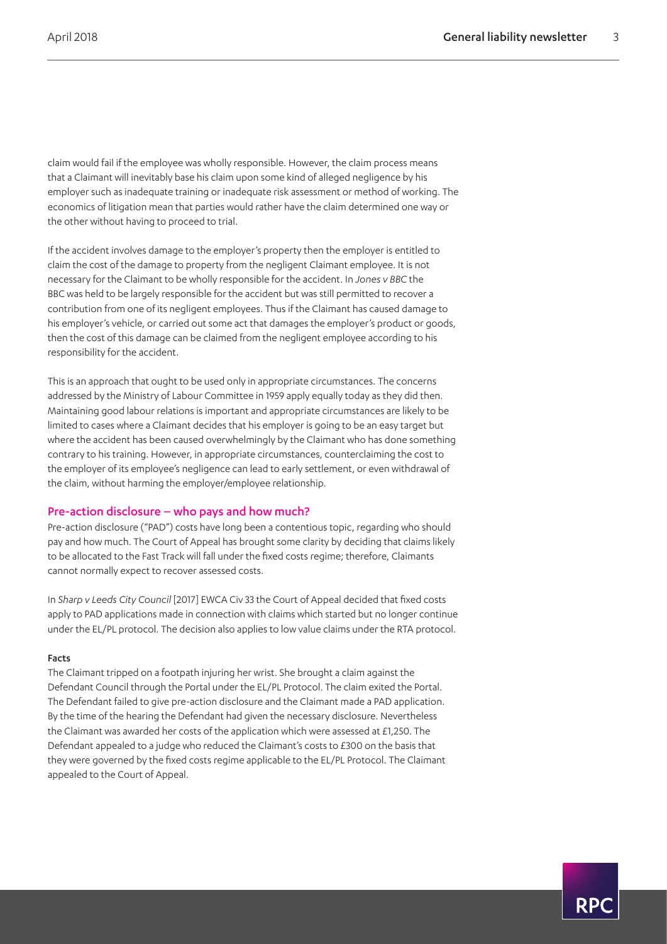claim would fail if the employee was wholly responsible. However, the claim process means that a Claimant will inevitably base his claim upon some kind of alleged negligence by his employer such as inadequate training or inadequate risk assessment or method of working. The economics of litigation mean that parties would rather have the claim determined one way or the other without having to proceed to trial.

If the accident involves damage to the employer's property then the employer is entitled to claim the cost of the damage to property from the negligent Claimant employee. It is not necessary for the Claimant to be wholly responsible for the accident. In *Jones v BBC* the BBC was held to be largely responsible for the accident but was still permitted to recover a contribution from one of its negligent employees. Thus if the Claimant has caused damage to his employer's vehicle, or carried out some act that damages the employer's product or goods, then the cost of this damage can be claimed from the negligent employee according to his responsibility for the accident.

This is an approach that ought to be used only in appropriate circumstances. The concerns addressed by the Ministry of Labour Committee in 1959 apply equally today as they did then. Maintaining good labour relations is important and appropriate circumstances are likely to be limited to cases where a Claimant decides that his employer is going to be an easy target but where the accident has been caused overwhelmingly by the Claimant who has done something contrary to his training. However, in appropriate circumstances, counterclaiming the cost to the employer of its employee's negligence can lead to early settlement, or even withdrawal of the claim, without harming the employer/employee relationship.

## Pre-action disclosure – who pays and how much?

Pre-action disclosure ("PAD") costs have long been a contentious topic, regarding who should pay and how much. The Court of Appeal has brought some clarity by deciding that claims likely to be allocated to the Fast Track will fall under the fixed costs regime; therefore, Claimants cannot normally expect to recover assessed costs.

In *Sharp v Leeds City Council* [2017] EWCA Civ 33 the Court of Appeal decided that fixed costs apply to PAD applications made in connection with claims which started but no longer continue under the EL/PL protocol. The decision also applies to low value claims under the RTA protocol.

### Facts

The Claimant tripped on a footpath injuring her wrist. She brought a claim against the Defendant Council through the Portal under the EL/PL Protocol. The claim exited the Portal. The Defendant failed to give pre-action disclosure and the Claimant made a PAD application. By the time of the hearing the Defendant had given the necessary disclosure. Nevertheless the Claimant was awarded her costs of the application which were assessed at £1,250. The Defendant appealed to a judge who reduced the Claimant's costs to £300 on the basis that they were governed by the fixed costs regime applicable to the EL/PL Protocol. The Claimant appealed to the Court of Appeal.